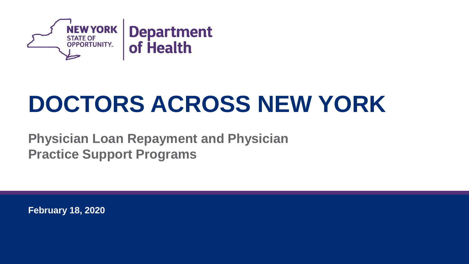

## **DOCTORS ACROSS NEW YORK**

**Physician Loan Repayment and Physician Practice Support Programs**

**February 18, 2020**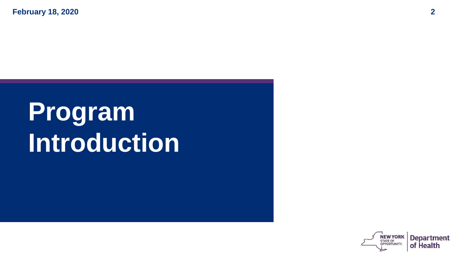**February 18, 2020 2**

# **Program Introduction**

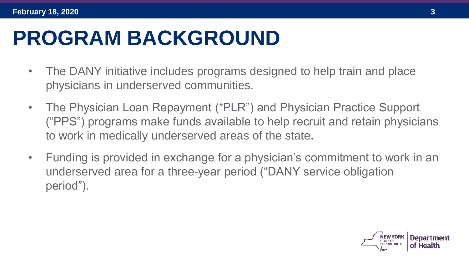### **PROGRAM BACKGROUND**

- The DANY initiative includes programs designed to help train and place physicians in underserved communities.
- The Physician Loan Repayment ("PLR") and Physician Practice Support ("PPS") programs make funds available to help recruit and retain physicians to work in medically underserved areas of the state.
- Funding is provided in exchange for a physician's commitment to work in an underserved area for a three-year period ("DANY service obligation period").

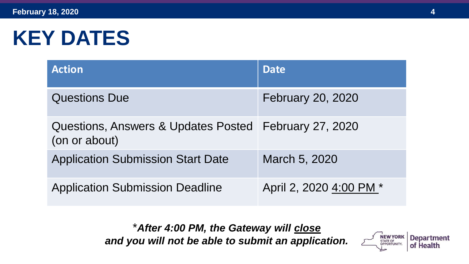#### **KEY DATES**

| <b>Action</b>                                                          | <b>Date</b>             |
|------------------------------------------------------------------------|-------------------------|
| <b>Questions Due</b>                                                   | February 20, 2020       |
| Questions, Answers & Updates Posted February 27, 2020<br>(on or about) |                         |
| <b>Application Submission Start Date</b>                               | March 5, 2020           |
| <b>Application Submission Deadline</b>                                 | April 2, 2020 4:00 PM * |

\**After 4:00 PM, the Gateway will close and you will not be able to submit an application.*

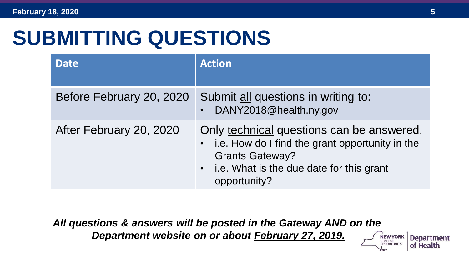#### **SUBMITTING QUESTIONS**

| <b>Date</b>              | <b>Action</b>                                                                                                                                                                          |
|--------------------------|----------------------------------------------------------------------------------------------------------------------------------------------------------------------------------------|
| Before February 20, 2020 | Submit all questions in writing to:<br>DANY2018@health.ny.gov                                                                                                                          |
| After February 20, 2020  | Only technical questions can be answered.<br>• i.e. How do I find the grant opportunity in the<br><b>Grants Gateway?</b><br>• i.e. What is the due date for this grant<br>opportunity? |

*All questions & answers will be posted in the Gateway AND on the Department website on or about February 27, 2019.*

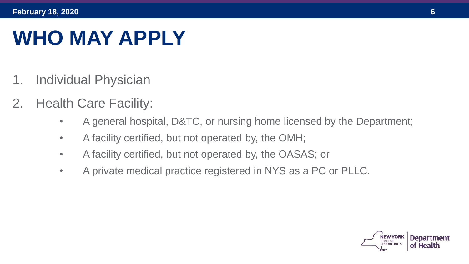#### **WHO MAY APPLY**

- 1. Individual Physician
- 2. Health Care Facility:
	- A general hospital, D&TC, or nursing home licensed by the Department;
	- A facility certified, but not operated by, the OMH;
	- A facility certified, but not operated by, the OASAS; or
	- A private medical practice registered in NYS as a PC or PLLC.

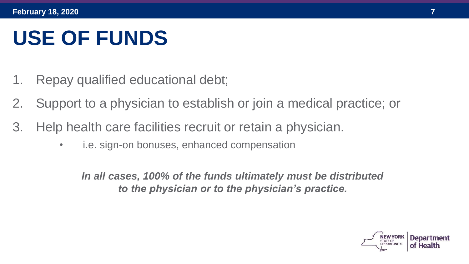#### **USE OF FUNDS**

- 1. Repay qualified educational debt;
- 2. Support to a physician to establish or join a medical practice; or
- 3. Help health care facilities recruit or retain a physician.
	- i.e. sign-on bonuses, enhanced compensation

*In all cases, 100% of the funds ultimately must be distributed to the physician or to the physician's practice.*

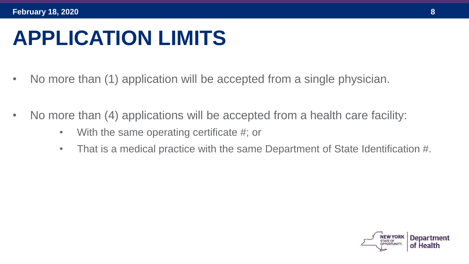#### **APPLICATION LIMITS**

- No more than (1) application will be accepted from a single physician.
- No more than (4) applications will be accepted from a health care facility:
	- With the same operating certificate #; or
	- That is a medical practice with the same Department of State Identification #.

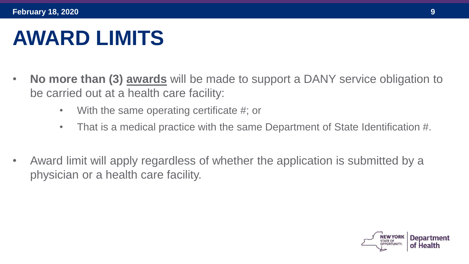#### **AWARD LIMITS**

- **No more than (3) awards** will be made to support a DANY service obligation to be carried out at a health care facility:
	- With the same operating certificate #; or
	- That is a medical practice with the same Department of State Identification #.
- Award limit will apply regardless of whether the application is submitted by a physician or a health care facility.

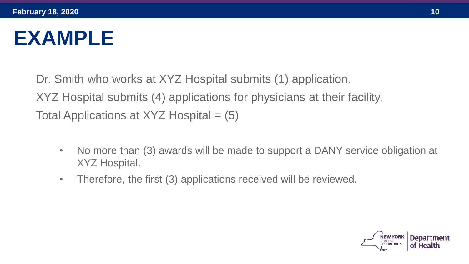#### **EXAMPLE**

Dr. Smith who works at XYZ Hospital submits (1) application. XYZ Hospital submits (4) applications for physicians at their facility. Total Applications at  $XYZ$  Hospital = (5)

- No more than (3) awards will be made to support a DANY service obligation at XYZ Hospital.
- Therefore, the first (3) applications received will be reviewed.

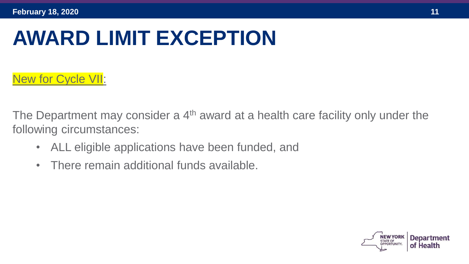#### **AWARD LIMIT EXCEPTION**

#### New for Cycle VII:

The Department may consider a  $4<sup>th</sup>$  award at a health care facility only under the following circumstances:

- ALL eligible applications have been funded, and
- There remain additional funds available.

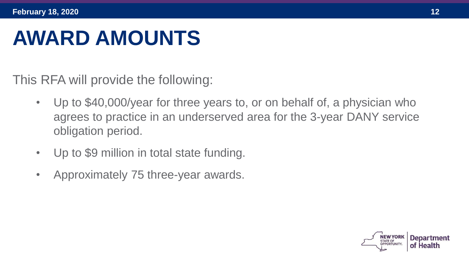#### **AWARD AMOUNTS**

This RFA will provide the following:

- Up to \$40,000/year for three years to, or on behalf of, a physician who agrees to practice in an underserved area for the 3-year DANY service obligation period.
- Up to \$9 million in total state funding.
- Approximately 75 three-year awards.

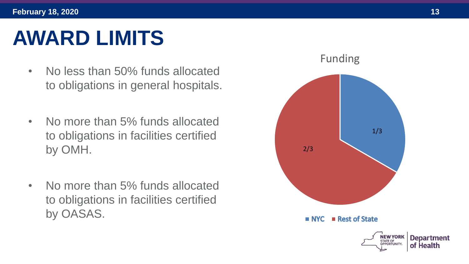### **AWARD LIMITS**

- No less than 50% funds allocated to obligations in general hospitals.
- No more than 5% funds allocated to obligations in facilities certified by OMH.
- No more than 5% funds allocated to obligations in facilities certified by OASAS.

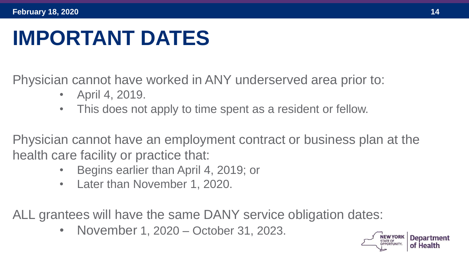#### **IMPORTANT DATES**

Physician cannot have worked in ANY underserved area prior to:

- April 4, 2019.
- This does not apply to time spent as a resident or fellow.

Physician cannot have an employment contract or business plan at the health care facility or practice that:

- Begins earlier than April 4, 2019; or
- Later than November 1, 2020.

ALL grantees will have the same DANY service obligation dates:

• November 1, 2020 – October 31, 2023.

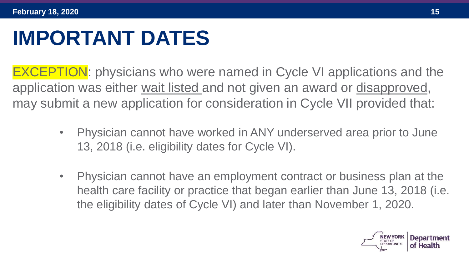#### **IMPORTANT DATES**

EXCEPTION: physicians who were named in Cycle VI applications and the application was either wait listed and not given an award or disapproved, may submit a new application for consideration in Cycle VII provided that:

- Physician cannot have worked in ANY underserved area prior to June 13, 2018 (i.e. eligibility dates for Cycle VI).
- Physician cannot have an employment contract or business plan at the health care facility or practice that began earlier than June 13, 2018 (i.e. the eligibility dates of Cycle VI) and later than November 1, 2020.

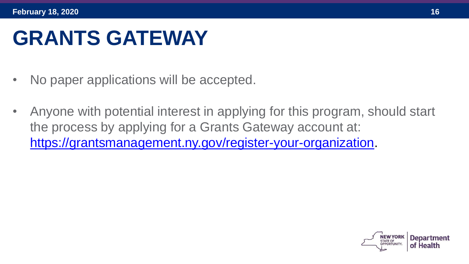#### **GRANTS GATEWAY**

- No paper applications will be accepted.
- Anyone with potential interest in applying for this program, should start the process by applying for a Grants Gateway account at: [https://grantsmanagement.ny.gov/register-your-organization.](https://grantsmanagement.ny.gov/register-your-organization)

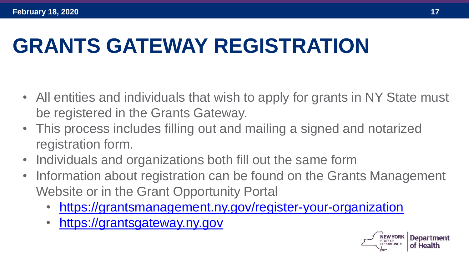## **GRANTS GATEWAY REGISTRATION**

- All entities and individuals that wish to apply for grants in NY State must be registered in the Grants Gateway.
- This process includes filling out and mailing a signed and notarized registration form.
- Individuals and organizations both fill out the same form
- Information about registration can be found on the Grants Management Website or in the Grant Opportunity Portal
	- <https://grantsmanagement.ny.gov/register-your-organization>
	- [https://grantsgateway.ny.gov](https://grantsgateway.ny.gov/)

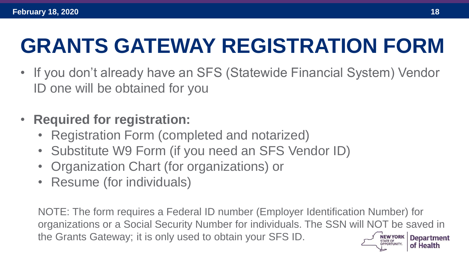## **GRANTS GATEWAY REGISTRATION FORM**

- If you don't already have an SFS (Statewide Financial System) Vendor ID one will be obtained for you
- **Required for registration:**
	- Registration Form (completed and notarized)
	- Substitute W9 Form (if you need an SFS Vendor ID)
	- Organization Chart (for organizations) or
	- Resume (for individuals)

NOTE: The form requires a Federal ID number (Employer Identification Number) for organizations or a Social Security Number for individuals. The SSN will NOT be saved in the Grants Gateway; it is only used to obtain your SFS ID.NEW YORK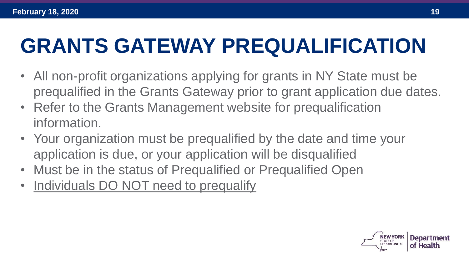## **GRANTS GATEWAY PREQUALIFICATION**

- All non-profit organizations applying for grants in NY State must be prequalified in the Grants Gateway prior to grant application due dates.
- Refer to the Grants Management website for prequalification information.
- Your organization must be prequalified by the date and time your application is due, or your application will be disqualified
- Must be in the status of Prequalified or Prequalified Open
- Individuals DO NOT need to prequalify

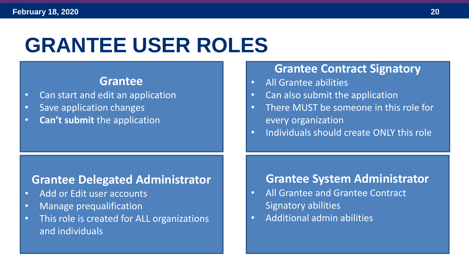#### **GRANTEE USER ROLES**

#### **Grantee**

- Can start and edit an application
- Save application changes
- **Can't submit** the application

#### **Grantee Delegated Administrator**

- Add or Edit user accounts
- Manage prequalification
- This role is created for ALL organizations and individuals

#### **Grantee Contract Signatory**

- All Grantee abilities
- Can also submit the application
- There MUST be someone in this role for every organization
- Individuals should create ONLY this role

#### **Grantee System Administrator**

- All Grantee and Grantee Contract Signatory abilities
- Additional admin abilities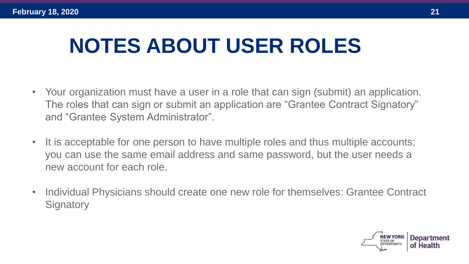#### **NOTES ABOUT USER ROLES**

- Your organization must have a user in a role that can sign (submit) an application. The roles that can sign or submit an application are "Grantee Contract Signatory" and "Grantee System Administrator".
- It is acceptable for one person to have multiple roles and thus multiple accounts; you can use the same email address and same password, but the user needs a new account for each role.
- Individual Physicians should create one new role for themselves: Grantee Contract **Signatory**

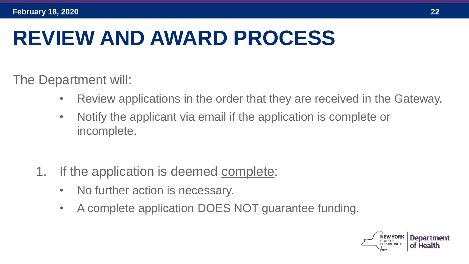#### **REVIEW AND AWARD PROCESS**

The Department will:

- Review applications in the order that they are received in the Gateway.
- Notify the applicant via email if the application is complete or incomplete.
- 1. If the application is deemed complete:
	- No further action is necessary.
	- A complete application DOES NOT guarantee funding.

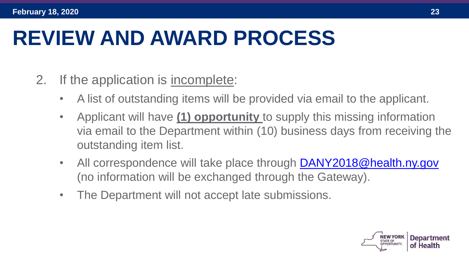#### **REVIEW AND AWARD PROCESS**

- 2. If the application is incomplete:
	- A list of outstanding items will be provided via email to the applicant.
	- Applicant will have **(1) opportunity** to supply this missing information via email to the Department within (10) business days from receiving the outstanding item list.
	- All correspondence will take place through [DANY2018@health.ny.gov](mailto:DANY2018@health.ny.gov) (no information will be exchanged through the Gateway).
	- The Department will not accept late submissions.

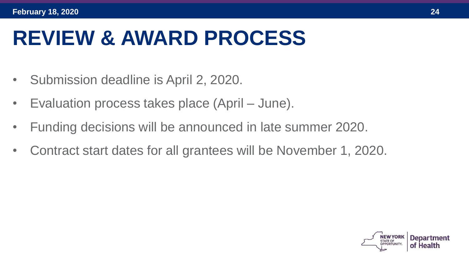#### **REVIEW & AWARD PROCESS**

- Submission deadline is April 2, 2020.
- Evaluation process takes place (April June).
- Funding decisions will be announced in late summer 2020.
- Contract start dates for all grantees will be November 1, 2020.

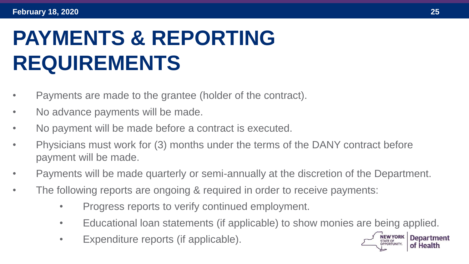## **PAYMENTS & REPORTING REQUIREMENTS**

- Payments are made to the grantee (holder of the contract).
- No advance payments will be made.
- No payment will be made before a contract is executed.
- Physicians must work for (3) months under the terms of the DANY contract before payment will be made.
- Payments will be made quarterly or semi-annually at the discretion of the Department.
- The following reports are ongoing & required in order to receive payments:
	- Progress reports to verify continued employment.
	- Educational loan statements (if applicable) to show monies are being applied.
	- Expenditure reports (if applicable).

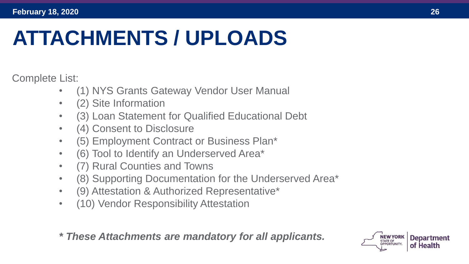#### **ATTACHMENTS / UPLOADS**

Complete List:

- (1) NYS Grants Gateway Vendor User Manual
- (2) Site Information
- (3) Loan Statement for Qualified Educational Debt
- (4) Consent to Disclosure
- (5) Employment Contract or Business Plan\*
- (6) Tool to Identify an Underserved Area\*
- (7) Rural Counties and Towns
- (8) Supporting Documentation for the Underserved Area\*
- (9) Attestation & Authorized Representative\*
- (10) Vendor Responsibility Attestation

*\* These Attachments are mandatory for all applicants.*

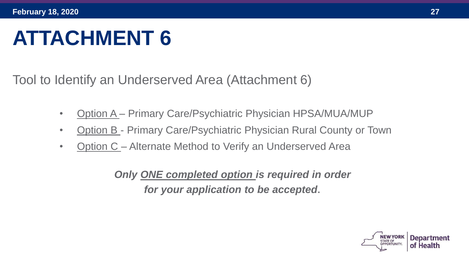#### **ATTACHMENT 6**

Tool to Identify an Underserved Area (Attachment 6)

- Option A Primary Care/Psychiatric Physician HPSA/MUA/MUP
- Option B Primary Care/Psychiatric Physician Rural County or Town
- Option C Alternate Method to Verify an Underserved Area

*Only ONE completed option is required in order for your application to be accepted*.

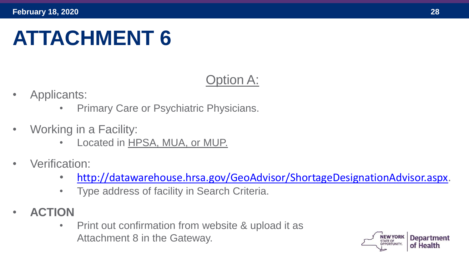#### **ATTACHMENT 6**

#### Option A:

- Applicants:
	- Primary Care or Psychiatric Physicians.
- Working in a Facility:
	- Located in HPSA, MUA, or MUP.
- Verification:
	- <http://datawarehouse.hrsa.gov/GeoAdvisor/ShortageDesignationAdvisor.aspx>.
	- Type address of facility in Search Criteria.
- **ACTION**
	- Print out confirmation from website & upload it as Attachment 8 in the Gateway.

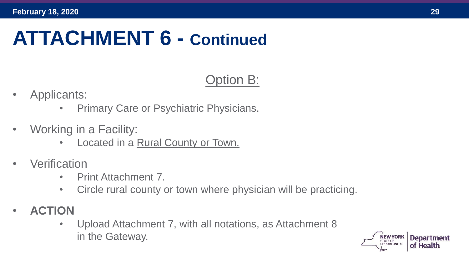#### **ATTACHMENT 6 - Continued**

#### Option B:

- Applicants:
	- Primary Care or Psychiatric Physicians.
- Working in a Facility:
	- Located in a Rural County or Town.
- **Verification** 
	- Print Attachment 7.
	- Circle rural county or town where physician will be practicing.
- **ACTION**
	- Upload Attachment 7, with all notations, as Attachment 8 in the Gateway.

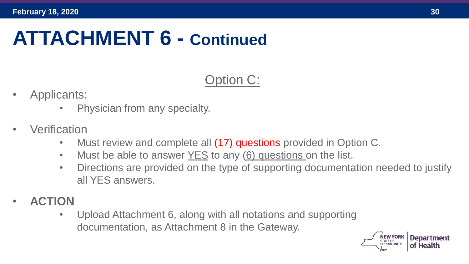#### **ATTACHMENT 6 - Continued**

#### Option C:

- Applicants:
	- Physician from any specialty.
- **Verification** 
	- Must review and complete all (17) questions provided in Option C.
	- Must be able to answer YES to any (6) questions on the list.
	- Directions are provided on the type of supporting documentation needed to justify all YES answers.
- **ACTION**
	- Upload Attachment 6, along with all notations and supporting documentation, as Attachment 8 in the Gateway.

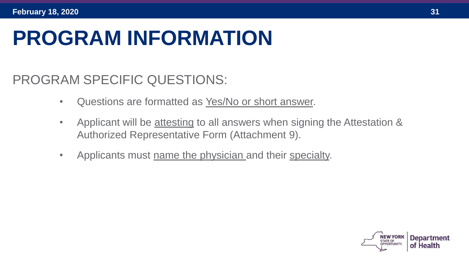#### **PROGRAM INFORMATION**

PROGRAM SPECIFIC QUESTIONS:

- Questions are formatted as Yes/No or short answer.
- Applicant will be attesting to all answers when signing the Attestation & Authorized Representative Form (Attachment 9).
- Applicants must name the physician and their specialty.

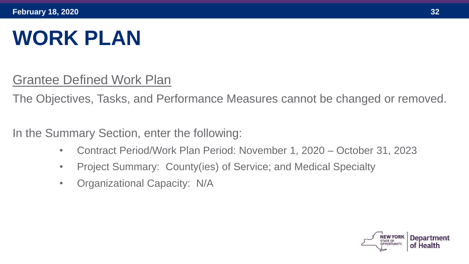### **WORK PLAN**

Grantee Defined Work Plan

The Objectives, Tasks, and Performance Measures cannot be changed or removed.

In the Summary Section, enter the following:

- Contract Period/Work Plan Period: November 1, 2020 October 31, 2023
- Project Summary: County(ies) of Service; and Medical Specialty
- Organizational Capacity: N/A

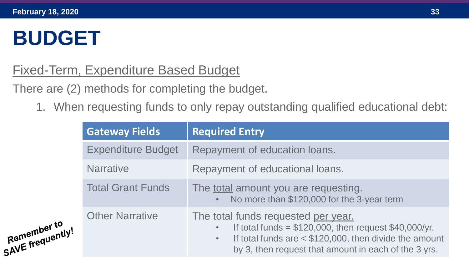#### **BUDGET**

#### Fixed-Term, Expenditure Based Budget

There are (2) methods for completing the budget.

1. When requesting funds to only repay outstanding qualified educational debt:

|                  | <b>Gateway Fields</b>     | <b>Required Entry</b>                                                                                                                                                                                                |
|------------------|---------------------------|----------------------------------------------------------------------------------------------------------------------------------------------------------------------------------------------------------------------|
|                  | <b>Expenditure Budget</b> | Repayment of education loans.                                                                                                                                                                                        |
|                  | <b>Narrative</b>          | Repayment of educational loans.                                                                                                                                                                                      |
|                  | <b>Total Grant Funds</b>  | The <u>total</u> amount you are requesting.<br>No more than \$120,000 for the 3-year term                                                                                                                            |
| SAVE frequently! | <b>Other Narrative</b>    | The total funds requested per year.<br>If total funds = $$120,000$ , then request $$40,000/yr$ .<br>If total funds are $<$ \$120,000, then divide the amount<br>by 3, then request that amount in each of the 3 yrs. |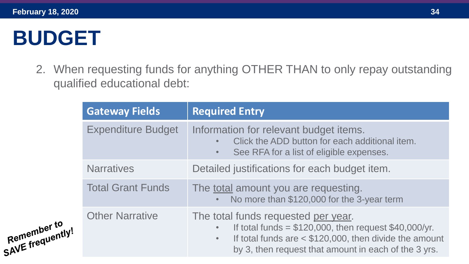#### **BUDGET**

2. When requesting funds for anything OTHER THAN to only repay outstanding qualified educational debt:

|                                                                                                                                         | <b>Gateway Fields</b>                                                                     | <b>Required Entry</b>                                                                                                                                                                                                                          |
|-----------------------------------------------------------------------------------------------------------------------------------------|-------------------------------------------------------------------------------------------|------------------------------------------------------------------------------------------------------------------------------------------------------------------------------------------------------------------------------------------------|
| <b>Expenditure Budget</b><br><b>Narratives</b><br><b>Total Grant Funds</b><br><b>Other Narrative</b><br>Kemember to<br>SAVE frequently! |                                                                                           | Information for relevant budget items.<br>Click the ADD button for each additional item.<br>See RFA for a list of eligible expenses.<br>$\bullet$                                                                                              |
|                                                                                                                                         |                                                                                           | Detailed justifications for each budget item.                                                                                                                                                                                                  |
|                                                                                                                                         | The <u>total</u> amount you are requesting.<br>No more than \$120,000 for the 3-year term |                                                                                                                                                                                                                                                |
|                                                                                                                                         |                                                                                           | The total funds requested per year.<br>If total funds = $$120,000$ , then request $$40,000/yr$ .<br>$\bullet$<br>If total funds are $<$ \$120,000, then divide the amount<br>$\bullet$<br>by 3, then request that amount in each of the 3 yrs. |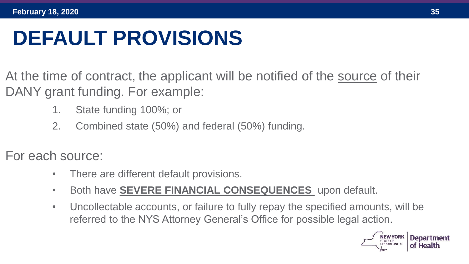## **DEFAULT PROVISIONS**

- At the time of contract, the applicant will be notified of the source of their DANY grant funding. For example:
	- 1. State funding 100%; or
	- 2. Combined state (50%) and federal (50%) funding.
- For each source:
	- There are different default provisions.
	- Both have **SEVERE FINANCIAL CONSEQUENCES** upon default.
	- Uncollectable accounts, or failure to fully repay the specified amounts, will be referred to the NYS Attorney General's Office for possible legal action.

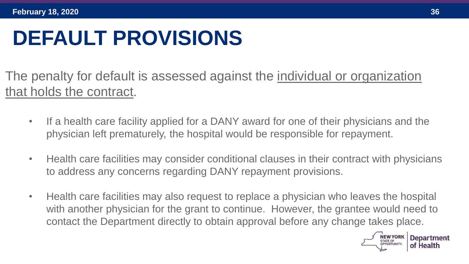### **DEFAULT PROVISIONS**

The penalty for default is assessed against the individual or organization that holds the contract.

- If a health care facility applied for a DANY award for one of their physicians and the physician left prematurely, the hospital would be responsible for repayment.
- Health care facilities may consider conditional clauses in their contract with physicians to address any concerns regarding DANY repayment provisions.
- Health care facilities may also request to replace a physician who leaves the hospital with another physician for the grant to continue. However, the grantee would need to contact the Department directly to obtain approval before any change takes place.

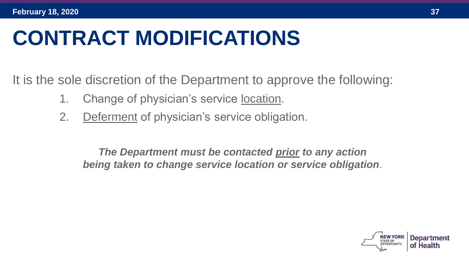#### **CONTRACT MODIFICATIONS**

It is the sole discretion of the Department to approve the following:

- 1. Change of physician's service location.
- 2. Deferment of physician's service obligation.

*The Department must be contacted prior to any action being taken to change service location or service obligation*.

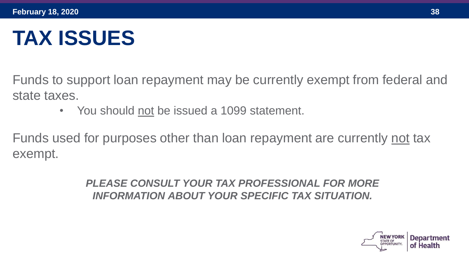#### **TAX ISSUES**

Funds to support loan repayment may be currently exempt from federal and state taxes.

• You should not be issued a 1099 statement.

Funds used for purposes other than loan repayment are currently not tax exempt.

> *PLEASE CONSULT YOUR TAX PROFESSIONAL FOR MORE INFORMATION ABOUT YOUR SPECIFIC TAX SITUATION.*

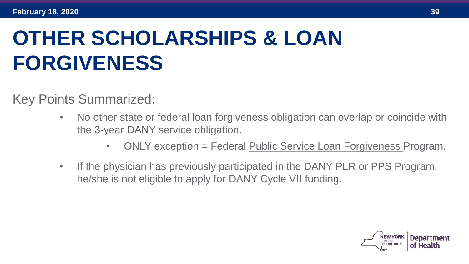## **OTHER SCHOLARSHIPS & LOAN FORGIVENESS**

Key Points Summarized:

- No other state or federal loan forgiveness obligation can overlap or coincide with the 3-year DANY service obligation.
	- ONLY exception = Federal Public Service Loan Forgiveness Program.
- If the physician has previously participated in the DANY PLR or PPS Program, he/she is not eligible to apply for DANY Cycle VII funding.

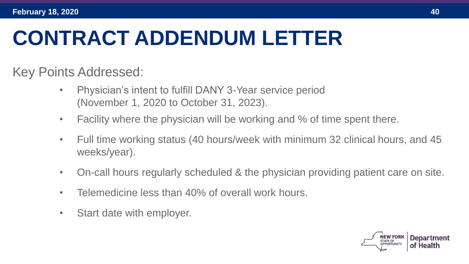#### **CONTRACT ADDENDUM LETTER**

Key Points Addressed:

- Physician's intent to fulfill DANY 3-Year service period (November 1, 2020 to October 31, 2023).
- Facility where the physician will be working and % of time spent there.
- Full time working status (40 hours/week with minimum 32 clinical hours, and 45 weeks/year).
- On-call hours regularly scheduled & the physician providing patient care on site.
- Telemedicine less than 40% of overall work hours.
- Start date with employer.

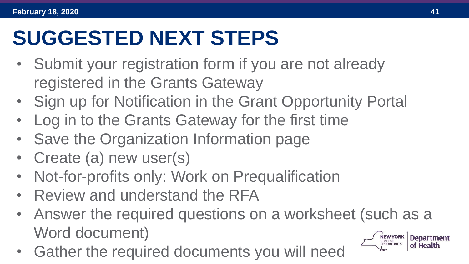#### **SUGGESTED NEXT STEPS**

- Submit your registration form if you are not already registered in the Grants Gateway
- Sign up for Notification in the Grant Opportunity Portal
- Log in to the Grants Gateway for the first time
- Save the Organization Information page
- Create (a) new user(s)
- Not-for-profits only: Work on Prequalification
- Review and understand the RFA
- Answer the required questions on a worksheet (such as a Word document)
- Gather the required documents you will need